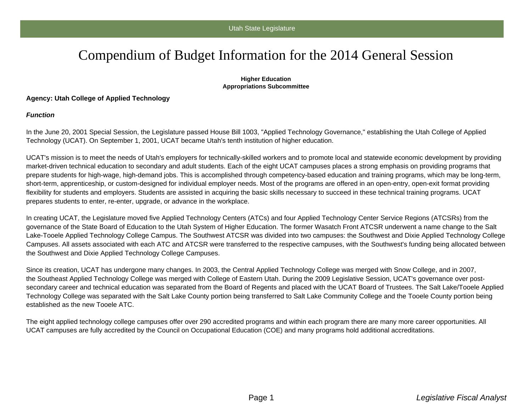# Compendium of Budget Information for the 2014 General Session

#### **Higher Education Appropriations Subcommittee**

### **Agency: Utah College of Applied Technology**

#### **Function**

In the June 20, 2001 Special Session, the Legislature passed House Bill 1003, "Applied Technology Governance," establishing the Utah College of Applied Technology (UCAT). On September 1, 2001, UCAT became Utah's tenth institution of higher education.

UCAT's mission is to meet the needs of Utah's employers for technically-skilled workers and to promote local and statewide economic development by providing market-driven technical education to secondary and adult students. Each of the eight UCAT campuses places a strong emphasis on providing programs that prepare students for high-wage, high-demand jobs. This is accomplished through competency-based education and training programs, which may be long-term, short-term, apprenticeship, or custom-designed for individual employer needs. Most of the programs are offered in an open-entry, open-exit format providing flexibility for students and employers. Students are assisted in acquiring the basic skills necessary to succeed in these technical training programs. UCAT prepares students to enter, re-enter, upgrade, or advance in the workplace.

In creating UCAT, the Legislature moved five Applied Technology Centers (ATCs) and four Applied Technology Center Service Regions (ATCSRs) from the governance of the State Board of Education to the Utah System of Higher Education. The former Wasatch Front ATCSR underwent a name change to the Salt Lake-Tooele Applied Technology College Campus. The Southwest ATCSR was divided into two campuses: the Southwest and Dixie Applied Technology College Campuses. All assets associated with each ATC and ATCSR were transferred to the respective campuses, with the Southwest's funding being allocated between the Southwest and Dixie Applied Technology College Campuses.

Since its creation, UCAT has undergone many changes. In 2003, the Central Applied Technology College was merged with Snow College, and in 2007, the Southeast Applied Technology College was merged with College of Eastern Utah. During the 2009 Legislative Session, UCAT's governance over postsecondary career and technical education was separated from the Board of Regents and placed with the UCAT Board of Trustees. The Salt Lake/Tooele Applied Technology College was separated with the Salt Lake County portion being transferred to Salt Lake Community College and the Tooele County portion being established as the new Tooele ATC.

The eight applied technology college campuses offer over 290 accredited programs and within each program there are many more career opportunities. All UCAT campuses are fully accredited by the Council on Occupational Education (COE) and many programs hold additional accreditations.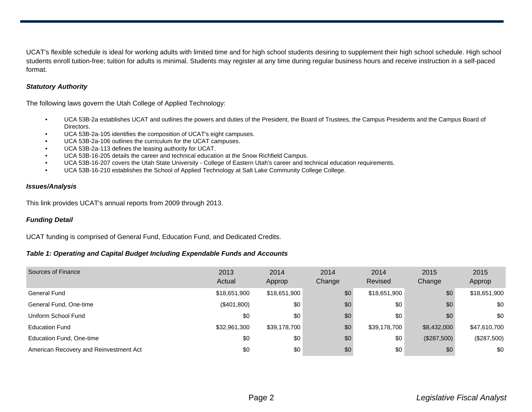UCAT's flexible schedule is ideal for working adults with limited time and for high school students desiring to supplement their high school schedule. High school students enroll tuition-free; tuition for adults is minimal. Students may register at any time during regular business hours and receive instruction in a self-paced format.

#### **Statutory Authority**

The following laws govern the Utah College of Applied Technology:

- UCA 53B-2a establishes UCAT and outlines the powers and duties of the President, the Board of Trustees, the Campus Presidents and the Campus Board of Directors.
- UCA 53B-2a-105 identifies the composition of UCAT's eight campuses.
- UCA 53B-2a-106 outlines the curriculum for the UCAT campuses.
- UCA 53B-2a-113 defines the leasing authority for UCAT.
- UCA 53B-16-205 details the career and technical education at the Snow Richfield Campus.
- UCA 53B-16-207 covers the Utah State University College of Eastern Utah's career and technical education requirements.
- UCA 53B-16-210 establishes the School of Applied Technology at Salt Lake Community College College.

#### **Issues/Analysis**

This link provides UCAT's annual reports from 2009 through 2013.

## **Funding Detail**

UCAT funding is comprised of General Fund, Education Fund, and Dedicated Credits.

#### **Table 1: Operating and Capital Budget Including Expendable Funds and Accounts**

| Sources of Finance                     | 2013<br>Actual | 2014<br>Approp | 2014<br>Change | 2014<br>Revised | 2015<br>Change | 2015<br>Approp |
|----------------------------------------|----------------|----------------|----------------|-----------------|----------------|----------------|
| <b>General Fund</b>                    | \$18,651,900   | \$18,651,900   | \$0            | \$18,651,900    | \$0            | \$18,651,900   |
| General Fund, One-time                 | (\$401,800)    | \$0            | \$0            | \$0             | \$0            | \$0            |
| Uniform School Fund                    | \$0            | \$0            | \$0            | \$0             | \$0            | \$0            |
| <b>Education Fund</b>                  | \$32,961,300   | \$39,178,700   | \$0            | \$39,178,700    | \$8,432,000    | \$47,610,700   |
| Education Fund, One-time               | \$0            | \$0            | \$0            | \$0             | (\$287,500)    | (\$287,500)    |
| American Recovery and Reinvestment Act | \$0            | \$0            | \$0            | \$0             | \$0            | \$0            |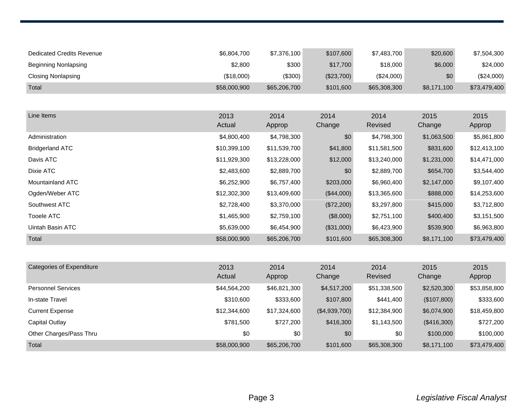| Dedicated Credits Revenue | \$6,804,700  | \$7,376,100  | \$107,600  | \$7,483,700  | \$20,600    | \$7,504,300  |
|---------------------------|--------------|--------------|------------|--------------|-------------|--------------|
| Beginning Nonlapsing      | \$2,800      | \$300        | \$17,700   | \$18,000     | \$6,000     | \$24,000     |
| Closing Nonlapsing        | (\$18,000)   | (S300)       | (\$23,700) | (\$24,000)   | \$0         | (\$24,000)   |
| Total                     | \$58,000,900 | \$65,206,700 | \$101,600  | \$65,308,300 | \$8,171,100 | \$73,479,400 |

| Line Items             | 2013<br>Actual | 2014<br>Approp | 2014<br>Change | 2014<br>Revised | 2015<br>Change | 2015<br>Approp |
|------------------------|----------------|----------------|----------------|-----------------|----------------|----------------|
| Administration         | \$4,800,400    | \$4,798,300    | \$0            | \$4,798,300     | \$1,063,500    | \$5,861,800    |
| <b>Bridgerland ATC</b> | \$10,399,100   | \$11,539,700   | \$41,800       | \$11,581,500    | \$831,600      | \$12,413,100   |
| Davis ATC              | \$11,929,300   | \$13,228,000   | \$12,000       | \$13,240,000    | \$1,231,000    | \$14,471,000   |
| Dixie ATC              | \$2,483,600    | \$2,889,700    | \$0            | \$2,889,700     | \$654,700      | \$3,544,400    |
| Mountainland ATC       | \$6,252,900    | \$6,757,400    | \$203,000      | \$6,960,400     | \$2,147,000    | \$9,107,400    |
| Ogden/Weber ATC        | \$12,302,300   | \$13,409,600   | (\$44,000)     | \$13,365,600    | \$888,000      | \$14,253,600   |
| Southwest ATC          | \$2,728,400    | \$3,370,000    | (\$72,200)     | \$3,297,800     | \$415,000      | \$3,712,800    |
| Tooele ATC             | \$1,465,900    | \$2,759,100    | (\$8,000)      | \$2,751,100     | \$400,400      | \$3,151,500    |
| Uintah Basin ATC       | \$5,639,000    | \$6,454,900    | (\$31,000)     | \$6,423,900     | \$539,900      | \$6,963,800    |
| Total                  | \$58,000,900   | \$65,206,700   | \$101,600      | \$65,308,300    | \$8,171,100    | \$73,479,400   |

| Categories of Expenditure | 2013<br>Actual | 2014<br>Approp | 2014<br>Change | 2014<br>Revised | 2015<br>Change | 2015<br>Approp |
|---------------------------|----------------|----------------|----------------|-----------------|----------------|----------------|
| <b>Personnel Services</b> | \$44,564,200   | \$46,821,300   | \$4,517,200    | \$51,338,500    | \$2,520,300    | \$53,858,800   |
| In-state Travel           | \$310,600      | \$333,600      | \$107,800      | \$441,400       | (\$107,800)    | \$333,600      |
| <b>Current Expense</b>    | \$12,344,600   | \$17,324,600   | (\$4,939,700)  | \$12,384,900    | \$6,074,900    | \$18,459,800   |
| Capital Outlay            | \$781,500      | \$727,200      | \$416,300      | \$1,143,500     | (\$416,300)    | \$727,200      |
| Other Charges/Pass Thru   | \$0            | \$0            | \$0            | \$0             | \$100,000      | \$100,000      |
| Total                     | \$58,000,900   | \$65,206,700   | \$101,600      | \$65,308,300    | \$8,171,100    | \$73,479,400   |